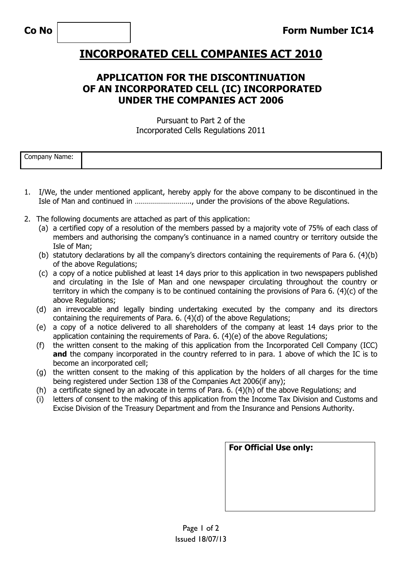## **INCORPORATED CELL COMPANIES ACT 2010**

## **APPLICATION FOR THE DISCONTINUATION OF AN INCORPORATED CELL (IC) INCORPORATED UNDER THE COMPANIES ACT 2006**

Pursuant to Part 2 of the Incorporated Cells Regulations 2011

| $\overline{\phantom{a}}$<br>Name.<br>vanv |  |
|-------------------------------------------|--|
|                                           |  |

- 1. I/We, the under mentioned applicant, hereby apply for the above company to be discontinued in the Isle of Man and continued in ………………………., under the provisions of the above Regulations.
- 2. The following documents are attached as part of this application:
	- (a) a certified copy of a resolution of the members passed by a majority vote of 75% of each class of members and authorising the company's continuance in a named country or territory outside the Isle of Man;
	- (b) statutory declarations by all the company's directors containing the requirements of Para 6. (4)(b) of the above Regulations;
	- (c) a copy of a notice published at least 14 days prior to this application in two newspapers published and circulating in the Isle of Man and one newspaper circulating throughout the country or territory in which the company is to be continued containing the provisions of Para 6. (4)(c) of the above Regulations;
	- (d) an irrevocable and legally binding undertaking executed by the company and its directors containing the requirements of Para. 6. (4)(d) of the above Regulations;
	- (e) a copy of a notice delivered to all shareholders of the company at least 14 days prior to the application containing the requirements of Para. 6. (4)(e) of the above Regulations;
	- (f) the written consent to the making of this application from the Incorporated Cell Company (ICC) and the company incorporated in the country referred to in para. 1 above of which the IC is to become an incorporated cell;
	- (g) the written consent to the making of this application by the holders of all charges for the time being registered under Section 138 of the Companies Act 2006(if any);
	- (h) a certificate signed by an advocate in terms of Para. 6. (4)(h) of the above Regulations; and
	- (i) letters of consent to the making of this application from the Income Tax Division and Customs and Excise Division of the Treasury Department and from the Insurance and Pensions Authority.

| <b>For Official Use only:</b> |  |  |  |  |
|-------------------------------|--|--|--|--|
|                               |  |  |  |  |
|                               |  |  |  |  |
|                               |  |  |  |  |
|                               |  |  |  |  |